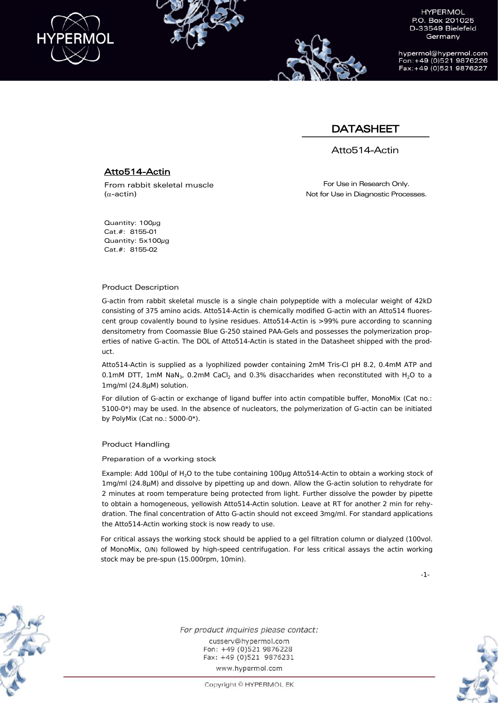

hypermol@hypermol.com Fon: +49 (0)521 9876226 Fax: +49 (0)521 9876227

## DATASHEET

Atto514-Actin

### Atto514-Actin

From rabbit skeletal muscle (α-actin)

For Use in Research Only. Not for Use in Diagnostic Processes.

Quantity: 100µg Cat.#: 8155-01 Quantity: 5x100µg Cat.#: 8155-02

#### Product Description

G-actin from rabbit skeletal muscle is a single chain polypeptide with a molecular weight of 42kD consisting of 375 amino acids. Atto514-Actin is chemically modified G-actin with an Atto514 fluorescent group covalently bound to lysine residues. Atto514-Actin is >99% pure according to scanning densitometry from Coomassie Blue G-250 stained PAA-Gels and possesses the polymerization properties of native G-actin. The DOL of Atto514-Actin is stated in the Datasheet shipped with the product.

Atto514-Actin is supplied as a lyophilized powder containing 2mM Tris-Cl pH 8.2, 0.4mM ATP and 0.1mM DTT, 1mM NaN<sub>3</sub>, 0.2mM CaCl<sub>2</sub> and 0.3% disaccharides when reconstituted with H<sub>2</sub>O to a 1mg/ml (24.8µM) solution.

For dilution of G-actin or exchange of ligand buffer into actin compatible buffer, MonoMix (Cat no.: 5100-0\*) may be used. In the absence of nucleators, the polymerization of G-actin can be initiated by PolyMix (Cat no.: 5000-0\*).

#### Product Handling

Preparation of a working stock

Example: Add 100µl of H<sub>2</sub>O to the tube containing 100µg Atto514-Actin to obtain a working stock of 1mg/ml (24.8µM) and dissolve by pipetting up and down. Allow the G-actin solution to rehydrate for 2 minutes at room temperature being protected from light. Further dissolve the powder by pipette to obtain a homogeneous, yellowish Atto514-Actin solution. Leave at RT for another 2 min for rehydration. The final concentration of Atto G-actin should not exceed 3mg/ml. For standard applications the Atto514-Actin working stock is now ready to use.

For critical assays the working stock should be applied to a gel filtration column or dialyzed (100vol. of MonoMix, O/N) followed by high-speed centrifugation. For less critical assays the actin working stock may be pre-spun (15.000rpm, 10min).

-1-



For product inquiries please contact: cusserv@hvpermol.com Fon: +49 (0)521 9876228 Fax: +49 (0)521 9876231 www.hypermol.com



Copyright © HYPERMOL EK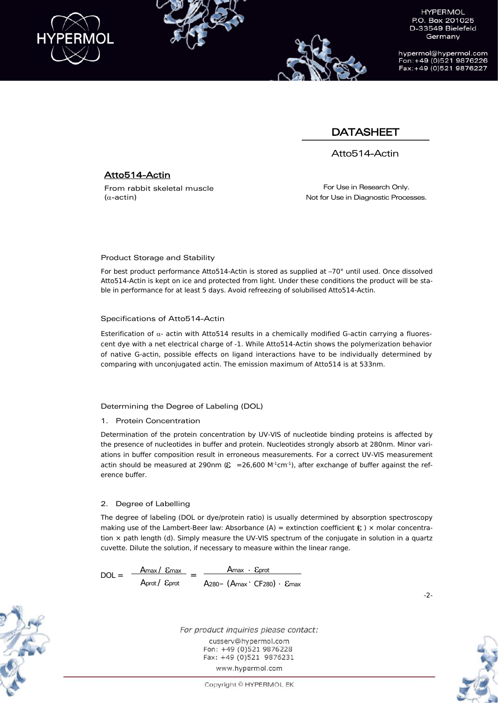

hypermol@hypermol.com Fon: +49 (0)521 9876226 Fax: +49 (0)521 9876227

## DATASHEET

Atto514-Actin

## Atto514-Actin

From rabbit skeletal muscle (α-actin)

For Use in Research Only. Not for Use in Diagnostic Processes.

#### Product Storage and Stability

For best product performance Atto514-Actin is stored as supplied at –70° until used. Once dissolved Atto514-Actin is kept on ice and protected from light. Under these conditions the product will be stable in performance for at least 5 days. Avoid refreezing of solubilised Atto514-Actin.

#### Specifications of Atto514-Actin

Esterification of  $\alpha$ - actin with Atto514 results in a chemically modified G-actin carrying a fluorescent dye with a net electrical charge of -1. While Atto514-Actin shows the polymerization behavior of native G-actin, possible effects on ligand interactions have to be individually determined by comparing with unconjugated actin. The emission maximum of Atto514 is at 533nm.

### Determining the Degree of Labeling (DOL)

#### 1. Protein Concentration

Determination of the protein concentration by UV-VIS of nucleotide binding proteins is affected by the presence of nucleotides in buffer and protein. Nucleotides strongly absorb at 280nm. Minor variations in buffer composition result in erroneous measurements. For a correct UV-VIS measurement actin should be measured at 290nm ( $\epsilon$  = 26,600 M<sup>-1</sup>cm<sup>-1</sup>), after exchange of buffer against the reference buffer.

#### 2. Degree of Labelling

The degree of labeling (DOL or dye/protein ratio) is usually determined by absorption spectroscopy making use of the Lambert-Beer law: Absorbance (A) = extinction coefficient  $\epsilon$ ) x molar concentration × path length (d). Simply measure the UV-VIS spectrum of the conjugate in solution in a quartz cuvette. Dilute the solution, if necessary to measure within the linear range.

 $DOL = \frac{A_{\text{max}} / \mathcal{E}_{\text{max}}}{1 - \mathcal{E}_{\text{max}} / \mathcal{E}_{\text{max}}$ Aprot/ εprot Amax · Eprot  $= \frac{P_{\text{max}} - P_{\text{max}}}{A_{280} - (A_{\text{max}} \cdot C_{\text{F280}}) \cdot \text{E}_{\text{max}}}$ 



For product inquiries please contact: cusserv@hvpermol.com Fon: +49 (0)521 9876228 Fax: +49 (0)521 9876231 www.hypermol.com

-2-